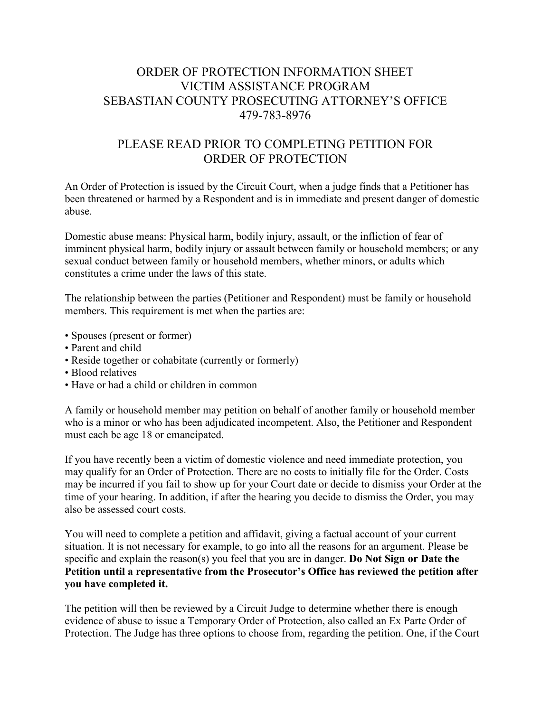# ORDER OF PROTECTION INFORMATION SHEET VICTIM ASSISTANCE PROGRAM SEBASTIAN COUNTY PROSECUTING ATTORNEY'S OFFICE 479-783-8976

# PLEASE READ PRIOR TO COMPLETING PETITION FOR ORDER OF PROTECTION

An Order of Protection is issued by the Circuit Court, when a judge finds that a Petitioner has been threatened or harmed by a Respondent and is in immediate and present danger of domestic abuse.

Domestic abuse means: Physical harm, bodily injury, assault, or the infliction of fear of imminent physical harm, bodily injury or assault between family or household members; or any sexual conduct between family or household members, whether minors, or adults which constitutes a crime under the laws of this state.

The relationship between the parties (Petitioner and Respondent) must be family or household members. This requirement is met when the parties are:

- Spouses (present or former)
- Parent and child
- Reside together or cohabitate (currently or formerly)
- Blood relatives
- Have or had a child or children in common

A family or household member may petition on behalf of another family or household member who is a minor or who has been adjudicated incompetent. Also, the Petitioner and Respondent must each be age 18 or emancipated.

If you have recently been a victim of domestic violence and need immediate protection, you may qualify for an Order of Protection. There are no costs to initially file for the Order. Costs may be incurred if you fail to show up for your Court date or decide to dismiss your Order at the time of your hearing. In addition, if after the hearing you decide to dismiss the Order, you may also be assessed court costs.

You will need to complete a petition and affidavit, giving a factual account of your current situation. It is not necessary for example, to go into all the reasons for an argument. Please be specific and explain the reason(s) you feel that you are in danger. Do Not Sign or Date the Petition until a representative from the Prosecutor's Office has reviewed the petition after you have completed it.

The petition will then be reviewed by a Circuit Judge to determine whether there is enough evidence of abuse to issue a Temporary Order of Protection, also called an Ex Parte Order of Protection. The Judge has three options to choose from, regarding the petition. One, if the Court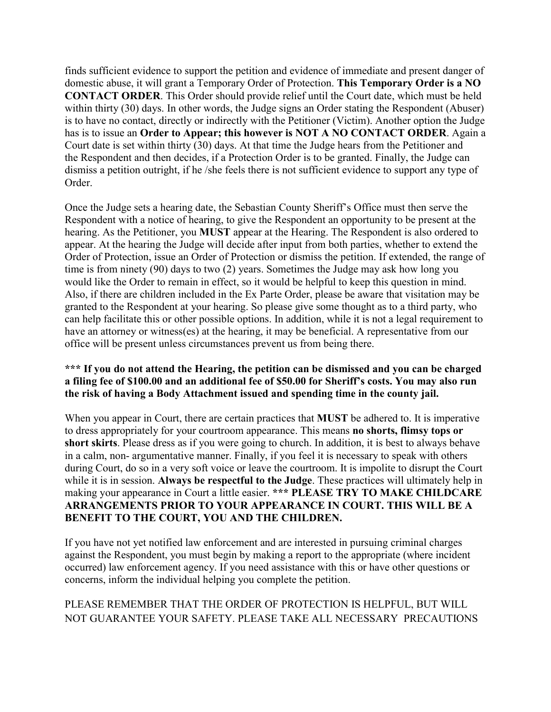finds sufficient evidence to support the petition and evidence of immediate and present danger of domestic abuse, it will grant a Temporary Order of Protection. This Temporary Order is a NO CONTACT ORDER. This Order should provide relief until the Court date, which must be held within thirty (30) days. In other words, the Judge signs an Order stating the Respondent (Abuser) is to have no contact, directly or indirectly with the Petitioner (Victim). Another option the Judge has is to issue an Order to Appear; this however is NOT A NO CONTACT ORDER. Again a Court date is set within thirty (30) days. At that time the Judge hears from the Petitioner and the Respondent and then decides, if a Protection Order is to be granted. Finally, the Judge can dismiss a petition outright, if he /she feels there is not sufficient evidence to support any type of Order.

Once the Judge sets a hearing date, the Sebastian County Sheriff's Office must then serve the Respondent with a notice of hearing, to give the Respondent an opportunity to be present at the hearing. As the Petitioner, you MUST appear at the Hearing. The Respondent is also ordered to appear. At the hearing the Judge will decide after input from both parties, whether to extend the Order of Protection, issue an Order of Protection or dismiss the petition. If extended, the range of time is from ninety (90) days to two (2) years. Sometimes the Judge may ask how long you would like the Order to remain in effect, so it would be helpful to keep this question in mind. Also, if there are children included in the Ex Parte Order, please be aware that visitation may be granted to the Respondent at your hearing. So please give some thought as to a third party, who can help facilitate this or other possible options. In addition, while it is not a legal requirement to have an attorney or witness(es) at the hearing, it may be beneficial. A representative from our office will be present unless circumstances prevent us from being there.

#### \*\*\* If you do not attend the Hearing, the petition can be dismissed and you can be charged a filing fee of \$100.00 and an additional fee of \$50.00 for Sheriff's costs. You may also run the risk of having a Body Attachment issued and spending time in the county jail.

When you appear in Court, there are certain practices that MUST be adhered to. It is imperative to dress appropriately for your courtroom appearance. This means no shorts, flimsy tops or short skirts. Please dress as if you were going to church. In addition, it is best to always behave in a calm, non- argumentative manner. Finally, if you feel it is necessary to speak with others during Court, do so in a very soft voice or leave the courtroom. It is impolite to disrupt the Court while it is in session. Always be respectful to the Judge. These practices will ultimately help in making your appearance in Court a little easier. \*\*\* PLEASE TRY TO MAKE CHILDCARE ARRANGEMENTS PRIOR TO YOUR APPEARANCE IN COURT. THIS WILL BE A BENEFIT TO THE COURT, YOU AND THE CHILDREN.

If you have not yet notified law enforcement and are interested in pursuing criminal charges against the Respondent, you must begin by making a report to the appropriate (where incident occurred) law enforcement agency. If you need assistance with this or have other questions or concerns, inform the individual helping you complete the petition.

## PLEASE REMEMBER THAT THE ORDER OF PROTECTION IS HELPFUL, BUT WILL NOT GUARANTEE YOUR SAFETY. PLEASE TAKE ALL NECESSARY PRECAUTIONS